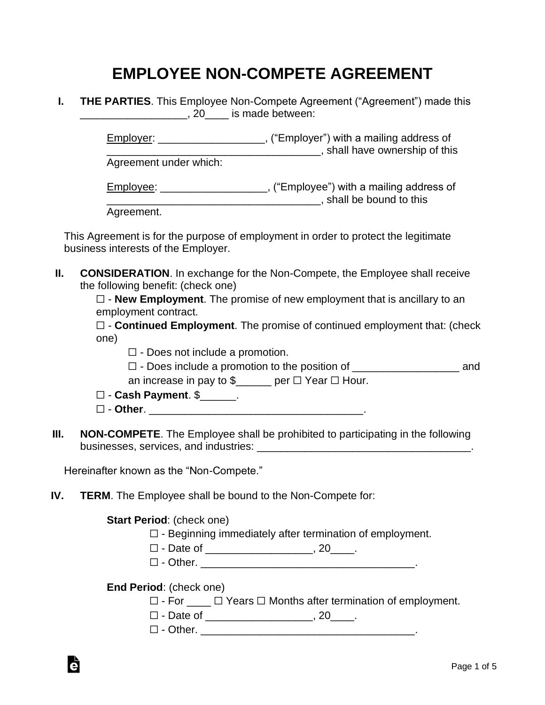## **EMPLOYEE NON-COMPETE AGREEMENT**

**I. THE PARTIES**. This Employee Non-Compete Agreement ("Agreement") made this \_\_\_\_\_\_\_\_\_\_\_\_\_\_\_\_\_\_, 20\_\_\_\_ is made between:

> Employer: \_\_\_\_\_\_\_\_\_\_\_\_\_\_\_\_\_\_, ("Employer") with a mailing address of **\_\_\_\_\_\_\_\_\_\_\_\_\_\_\_\_\_**, shall have ownership of this

Agreement under which:

Employee: \_\_\_\_\_\_\_\_\_\_\_\_\_\_\_\_\_\_, ("Employee") with a mailing address of **\_\_\_\_\_\_\_\_\_\_\_\_\_\_\_\_\_\_\_\_\_\_\_\_\_\_\_\_**, shall be bound to this

Agreement.

This Agreement is for the purpose of employment in order to protect the legitimate business interests of the Employer.

**II. CONSIDERATION**. In exchange for the Non-Compete, the Employee shall receive the following benefit: (check one)

> ☐ - **New Employment**. The promise of new employment that is ancillary to an employment contract.

☐ - **Continued Employment**. The promise of continued employment that: (check one)

- $\Box$  Does not include a promotion.
- ☐ Does include a promotion to the position of \_\_\_\_\_\_\_\_\_\_\_\_\_\_\_\_\_\_ and

an increase in pay to  $\frac{1}{2}$  per  $\Box$  Year  $\Box$  Hour.

- ☐ **Cash Payment**. \$\_\_\_\_\_\_.
- ☐ **Other**. \_\_\_\_\_\_\_\_\_\_\_\_\_\_\_\_\_\_\_\_\_\_\_\_\_\_\_\_\_\_\_\_\_\_\_\_.
- **III. NON-COMPETE**. The Employee shall be prohibited to participating in the following businesses, services, and industries: \_\_\_\_\_\_\_\_\_\_\_\_\_\_\_\_\_\_\_\_\_\_\_\_\_\_\_\_\_\_\_\_\_\_\_\_.

Hereinafter known as the "Non-Compete."

**IV. TERM**. The Employee shall be bound to the Non-Compete for:

**Start Period**: (check one)

- $\Box$  Beginning immediately after termination of employment.
- ☐ Date of \_\_\_\_\_\_\_\_\_\_\_\_\_\_\_\_\_\_, 20\_\_\_\_.
- $\Box$  Other.

**End Period**: (check one)

à

☐ - For \_\_\_\_ ☐ Years ☐ Months after termination of employment.

☐ - Date of \_\_\_\_\_\_\_\_\_\_\_\_\_\_\_\_\_\_, 20\_\_\_\_.

☐ - Other. \_\_\_\_\_\_\_\_\_\_\_\_\_\_\_\_\_\_\_\_\_\_\_\_\_\_\_\_\_\_\_\_\_\_\_\_.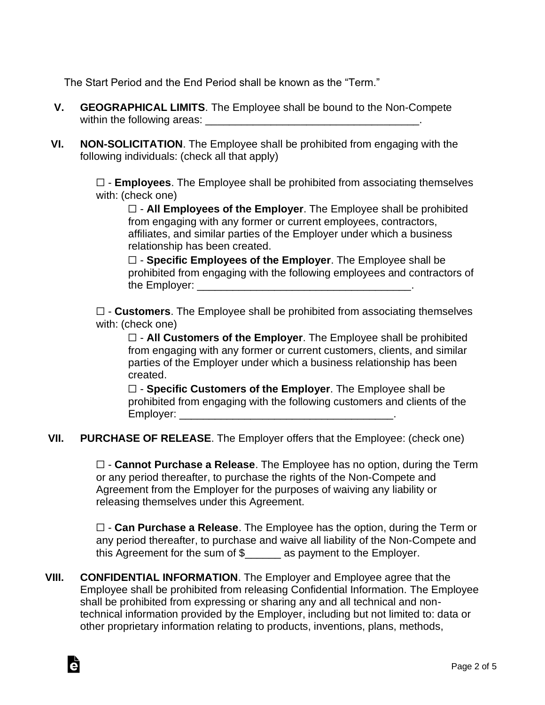The Start Period and the End Period shall be known as the "Term."

- **V. GEOGRAPHICAL LIMITS**. The Employee shall be bound to the Non-Compete within the following areas: \_\_\_\_\_\_\_\_\_\_\_\_\_\_\_\_\_\_\_\_\_\_\_\_\_\_\_\_\_\_\_\_\_\_\_\_.
- **VI. NON-SOLICITATION**. The Employee shall be prohibited from engaging with the following individuals: (check all that apply)

☐ - **Employees**. The Employee shall be prohibited from associating themselves with: (check one)

☐ - **All Employees of the Employer**. The Employee shall be prohibited from engaging with any former or current employees, contractors, affiliates, and similar parties of the Employer under which a business relationship has been created.

☐ - **Specific Employees of the Employer**. The Employee shall be prohibited from engaging with the following employees and contractors of the Employer:  $\blacksquare$ 

☐ - **Customers**. The Employee shall be prohibited from associating themselves with: (check one)

☐ - **All Customers of the Employer**. The Employee shall be prohibited from engaging with any former or current customers, clients, and similar parties of the Employer under which a business relationship has been created.

☐ - **Specific Customers of the Employer**. The Employee shall be prohibited from engaging with the following customers and clients of the Employer:  $\blacksquare$ 

**VII. PURCHASE OF RELEASE**. The Employer offers that the Employee: (check one)

☐ - **Cannot Purchase a Release**. The Employee has no option, during the Term or any period thereafter, to purchase the rights of the Non-Compete and Agreement from the Employer for the purposes of waiving any liability or releasing themselves under this Agreement.

☐ - **Can Purchase a Release**. The Employee has the option, during the Term or any period thereafter, to purchase and waive all liability of the Non-Compete and this Agreement for the sum of \$\_\_\_\_\_\_ as payment to the Employer.

**VIII. CONFIDENTIAL INFORMATION**. The Employer and Employee agree that the Employee shall be prohibited from releasing Confidential Information. The Employee shall be prohibited from expressing or sharing any and all technical and nontechnical information provided by the Employer, including but not limited to: data or other proprietary information relating to products, inventions, plans, methods,

Ġ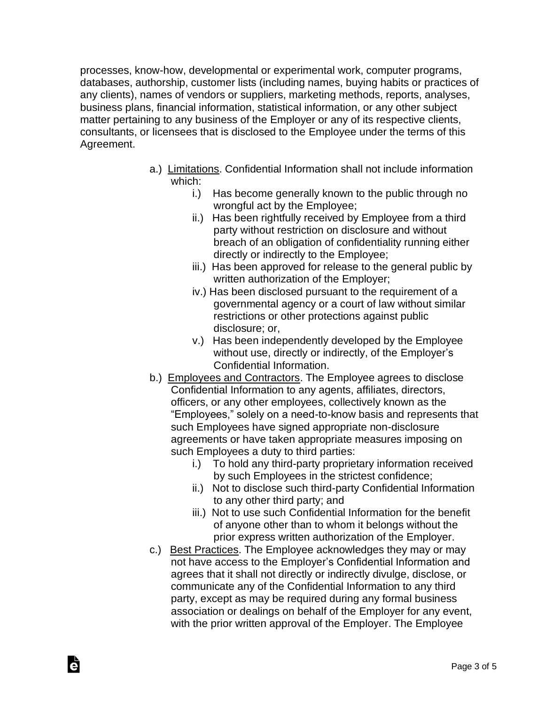processes, know-how, developmental or experimental work, computer programs, databases, authorship, customer lists (including names, buying habits or practices of any clients), names of vendors or suppliers, marketing methods, reports, analyses, business plans, financial information, statistical information, or any other subject matter pertaining to any business of the Employer or any of its respective clients, consultants, or licensees that is disclosed to the Employee under the terms of this Agreement.

- a.) Limitations. Confidential Information shall not include information which:
	- i.) Has become generally known to the public through no wrongful act by the Employee;
	- ii.) Has been rightfully received by Employee from a third party without restriction on disclosure and without breach of an obligation of confidentiality running either directly or indirectly to the Employee;
	- iii.) Has been approved for release to the general public by written authorization of the Employer;
	- iv.) Has been disclosed pursuant to the requirement of a governmental agency or a court of law without similar restrictions or other protections against public disclosure; or,
	- v.) Has been independently developed by the Employee without use, directly or indirectly, of the Employer's Confidential Information.
- b.) Employees and Contractors. The Employee agrees to disclose Confidential Information to any agents, affiliates, directors, officers, or any other employees, collectively known as the "Employees," solely on a need-to-know basis and represents that such Employees have signed appropriate non-disclosure agreements or have taken appropriate measures imposing on such Employees a duty to third parties:
	- i.) To hold any third-party proprietary information received by such Employees in the strictest confidence;
	- ii.) Not to disclose such third-party Confidential Information to any other third party; and
	- iii.) Not to use such Confidential Information for the benefit of anyone other than to whom it belongs without the prior express written authorization of the Employer.
- c.) Best Practices. The Employee acknowledges they may or may not have access to the Employer's Confidential Information and agrees that it shall not directly or indirectly divulge, disclose, or communicate any of the Confidential Information to any third party, except as may be required during any formal business association or dealings on behalf of the Employer for any event, with the prior written approval of the Employer. The Employee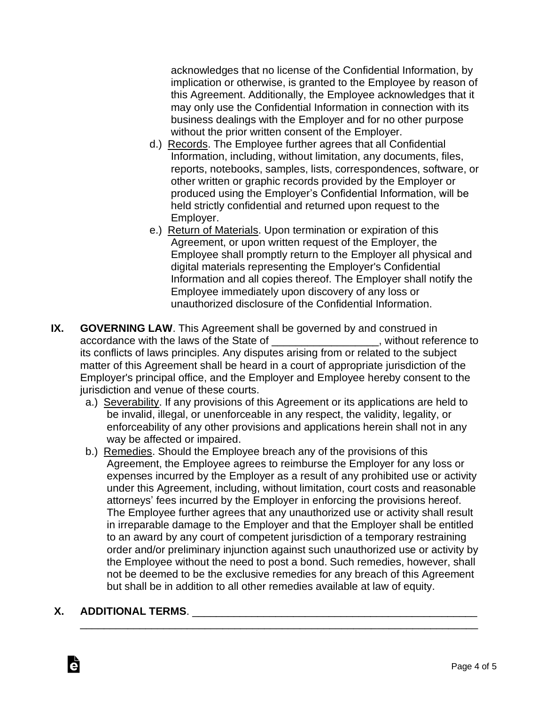acknowledges that no license of the Confidential Information, by implication or otherwise, is granted to the Employee by reason of this Agreement. Additionally, the Employee acknowledges that it may only use the Confidential Information in connection with its business dealings with the Employer and for no other purpose without the prior written consent of the Employer.

- d.) Records. The Employee further agrees that all Confidential Information, including, without limitation, any documents, files, reports, notebooks, samples, lists, correspondences, software, or other written or graphic records provided by the Employer or produced using the Employer's Confidential Information, will be held strictly confidential and returned upon request to the Employer.
- e.) Return of Materials. Upon termination or expiration of this Agreement, or upon written request of the Employer, the Employee shall promptly return to the Employer all physical and digital materials representing the Employer's Confidential Information and all copies thereof. The Employer shall notify the Employee immediately upon discovery of any loss or unauthorized disclosure of the Confidential Information.
- **IX. GOVERNING LAW**. This Agreement shall be governed by and construed in accordance with the laws of the State of \_\_\_\_\_\_\_\_\_\_\_\_\_\_\_\_\_\_\_, without reference to its conflicts of laws principles. Any disputes arising from or related to the subject matter of this Agreement shall be heard in a court of appropriate jurisdiction of the Employer's principal office, and the Employer and Employee hereby consent to the jurisdiction and venue of these courts.
	- a.) Severability. If any provisions of this Agreement or its applications are held to be invalid, illegal, or unenforceable in any respect, the validity, legality, or enforceability of any other provisions and applications herein shall not in any way be affected or impaired.
	- b.) Remedies. Should the Employee breach any of the provisions of this Agreement, the Employee agrees to reimburse the Employer for any loss or expenses incurred by the Employer as a result of any prohibited use or activity under this Agreement, including, without limitation, court costs and reasonable attorneys' fees incurred by the Employer in enforcing the provisions hereof. The Employee further agrees that any unauthorized use or activity shall result in irreparable damage to the Employer and that the Employer shall be entitled to an award by any court of competent jurisdiction of a temporary restraining order and/or preliminary injunction against such unauthorized use or activity by the Employee without the need to post a bond. Such remedies, however, shall not be deemed to be the exclusive remedies for any breach of this Agreement but shall be in addition to all other remedies available at law of equity.

\_\_\_\_\_\_\_\_\_\_\_\_\_\_\_\_\_\_\_\_\_\_\_\_\_\_\_\_\_\_\_\_\_\_\_\_\_\_\_\_\_\_\_\_\_\_\_\_\_\_\_\_\_\_\_\_\_\_\_\_\_\_\_\_\_\_\_

## **X. ADDITIONAL TERMS**. \_\_\_\_\_\_\_\_\_\_\_\_\_\_\_\_\_\_\_\_\_\_\_\_\_\_\_\_\_\_\_\_\_\_\_\_\_\_\_\_\_\_\_\_\_\_\_\_

Ġ